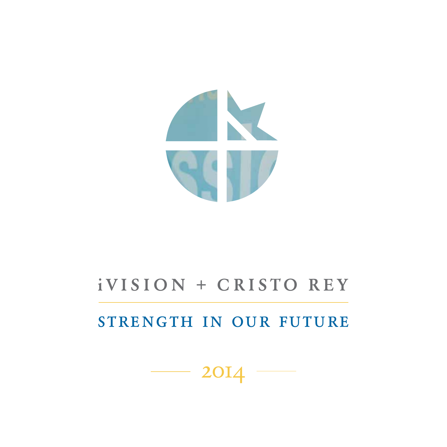

# iVISION + CRISTO REY

# strength in our future

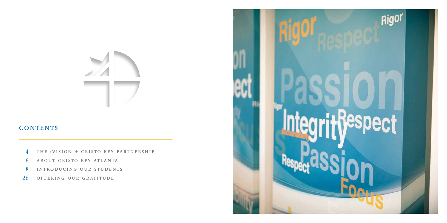## **CONTENTS**

- the ivision + cristo rey partnership 4
- about cristo rey atlanta 6
- introducing our students 8
- offering our gratitude 26

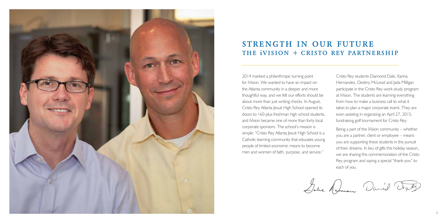

# strength in our future the ivision *+* cristo rey partnership

2014 marked a philanthropic turning point for iVision. We wanted to have an impact on the Atlanta community in a deeper and more thoughtful way, and we felt our efforts should be about more than just writing checks. In August, Cristo Rey Atlanta Jesuit High School opened its doors to 160-plus freshman high school students, and iVision became one of more than forty local corporate sponsors. The school's mission is simple: "Cristo Rey Atlanta Jesuit High School is a Catholic learning community that educates young people of limited economic means to become men and women of faith, purpose, and service."

Cristo Rey students Diamond Dale, Karina Hernandez, Destiny McLeod and Jada Milligan participate in the Cristo Rey work-study program at iVision. The students are learning everything from how to make a business call to what it takes to plan a major corporate event. They are even assisting in organizing an April 27, 2015, fundraising golf tournament for Cristo Rey.

Being a part of the iVision community – whether you are a partner, client or employee – means you are supporting these students in the pursuit of their dreams. In lieu of gifts this holiday season, we are sharing this commemoration of the Cristo Rey program and saying a special "thank-you" to each of you.

Date Ramon David Degrey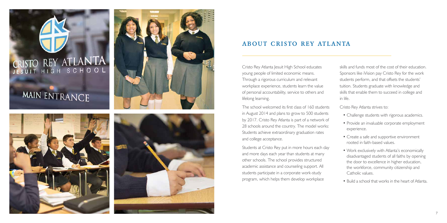# CRISTO REY ATLANTA

# MAIN ENTRANCE





### about cristo rey atlanta

Cristo Rey Atlanta Jesuit High School educates young people of limited economic means. Through a rigorous curriculum and relevant workplace experience, students learn the value of personal accountability, service to others and lifelong learning.

The school welcomed its first class of 160 students in August 2014 and plans to grow to 500 students by 2017. Cristo Rey Atlanta is part of a network of 28 schools around the country. The model works: Students achieve extraordinary graduation rates and college acceptance.

Students at Cristo Rey put in more hours each day and more days each year than students at many other schools. The school provides structured academic assistance and counseling support. All students participate in a corporate work-study program, which helps them develop workplace

skills and funds most of the cost of their education. Sponsors like iVision pay Cristo Rey for the work students perform, and that offsets the students' tuition. Students graduate with knowledge and skills that enable them to succeed in college and in life.

Cristo Rey Atlanta strives to:

- Challenge students with rigorous academics.
- Provide an invaluable corporate employment experience.
- Create a safe and supportive environment rooted in faith-based values.
- Work exclusively with Atlanta's economically disadvantaged students of all faiths by opening the door to excellence in higher education, the workforce, community citizenship and Catholic values.
- Build a school that works in the heart of Atlanta.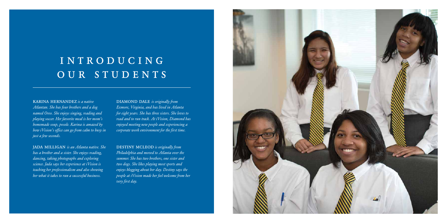# INTRODUCING OUR STUDENTS

### karina hernandez *is a native*

*Atlantan. She has four brothers and a dog named Oreo. She enjoys singing, reading and playing soccer. Her favorite meal is her mom's homemade soup, posole. Karina is amazed by how iVision's office can go from calm to busy in just a few seconds.* 

jada milligan *is an Atlanta native. She has a brother and a sister. She enjoys reading, dancing, taking photographs and exploring science. Jada says her experience at iVision is teaching her professionalism and also showing her what it takes to run a successful business.* 

DIAMOND DALE *is originally from Exmore, Virginia, and has lived in Atlanta for eight years. She has three sisters. She loves to read and to run track. At iVision, Diamond has enjoyed meeting new people and experiencing a corporate work environment for the first time.*

DESTINY MCLEOD is originally from *Philadelphia and moved to Atlanta over the summer. She has two brothers, one sister and two dogs. She likes playing most sports and enjoys blogging about her day. Destiny says the people at iVision made her feel welcome from her very first day.*

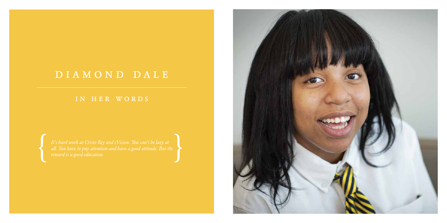# diamond dale

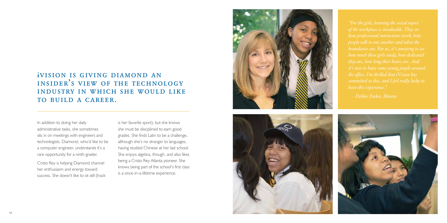# ivision is giving diamond an insider's view of the technology industry in which she would like TO BUILD A CAREER.

In addition to doing her daily administrative tasks, she sometimes sits in on meetings with engineers and technologists. Diamond, who'd like to be a computer engineer, understands it's a rare opportunity for a ninth-grader.

Cristo Rey is helping Diamond channel her enthusiasm and energy toward success. She doesn't like to sit still (track is her favorite sport), but she knows she must be disciplined to earn good grades. She finds Latin to be a challenge, although she's no stranger to languages, having studied Chinese at her last school. She enjoys algebra, though, and also likes being a Cristo Rey Atlanta pioneer. She knows being part of the school's first class is a once-in-a-lifetime experience.





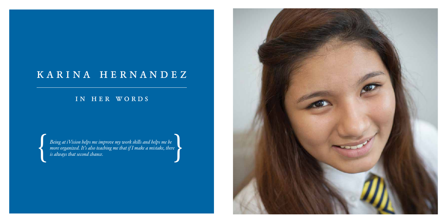# karina hernandez

### in her words

*Being at iVision helps me improve my work skills and helps me be*  Being at iVision helps me improve my work skills and helps me be<br>more organized. It's also teaching me that if I make a mistake, there<br>is always that second chance.

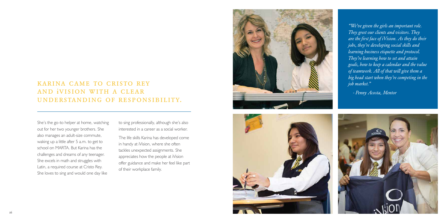### karina came to cristo rey and ivision with a clear understanding of responsibility.

She's the go-to helper at home, watching out for her two younger brothers. She also manages an adult-size commute, waking up a little after 5 a.m. to get to school on MARTA. But Karina has the challenges and dreams of any teenager. She excels in math and struggles with Latin, a required course at Cristo Rey. She loves to sing and would one day like

to sing professionally, although she's also interested in a career as a social worker.

The life skills Karina has developed come in handy at iVision, where she often tackles unexpected assignments. She appreciates how the people at iVision offer guidance and make her feel like part of their workplace family.





*"We've given the girls an important role. They greet our clients and visitors. They are the first face of iVision. As they do their jobs, they're developing social skills and learning business etiquette and protocol. They're learning how to set and attain goals, how to keep a calendar and the value of teamwork. All of that will give them a big head start when they're competing in the job market."*

*- Penny Acosta, Mentor*

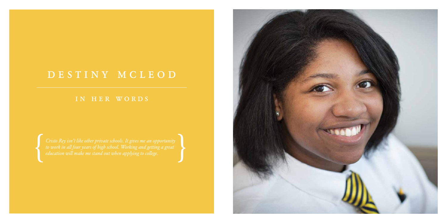# destiny mcleod

*Cristo Rey isn't like other private schools. It gives me an opportunity to work in all four years of high school. Working and getting a great education will make me stand out when applying to college.* 

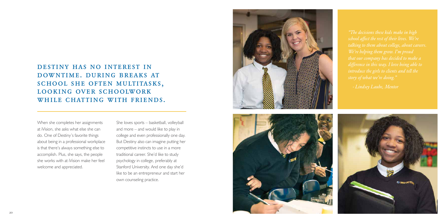## destiny has no interest in downtime. during breaks at SCHOOL SHE OFTEN MULTITASKS, looking over schoolwork WHILE CHATTING WITH FRIENDS.

When she completes her assignments at iVision, she asks what else she can do. One of Destiny's favorite things about being in a professional workplace is that there's always something else to accomplish. Plus, she says, the people she works with at iVision make her feel welcome and appreciated.

She loves sports – basketball, volleyball and more – and would like to play in college and even professionally one day. But Destiny also can imagine putting her competitive instincts to use in a more traditional career. She'd like to study psychology in college, preferably at Stanford University. And one day she'd like to be an entrepreneur and start her own counseling practice.





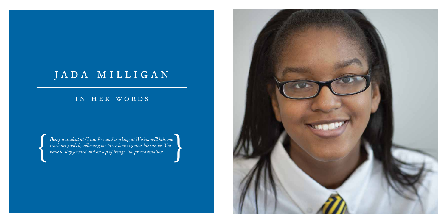# JADA MILLIGAN

### in her words

*Being a student at Cristo Rey and working at iVision will help me Peing a student at Cristo Rey and working at iVision will help me*<br> *reach my goals by allowing me to see how rigorous life can be. You*<br> *have to stay focused and on top of things. No procrastination.* 

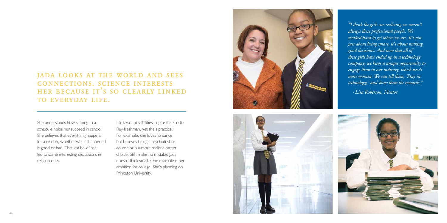## jada looks at the world and sees connections. science interests her because it's so clearly linked TO EVERYDAY LIFE.

She understands how sticking to a schedule helps her succeed in school. She believes that everything happens for a reason, whether what's happened is good or bad. That last belief has led to some interesting discussions in religion class.

Life's vast possibilities inspire this Cristo Rey freshman, yet she's practical. For example, she loves to dance but believes being a psychiatrist or counselor is a more realistic career choice. Still, make no mistake: Jada doesn't think small. One example is her ambition for college. She's planning on Princeton University.





*"I think the girls are realizing we weren't always these professional people. We worked hard to get where we are. It's not just about being smart, it's about making good decisions. And now that all of these girls have ended up in a technology company, we have a unique opportunity to engage them in our industry, which needs more women. We can tell them, 'Stay in technology,' and show them the rewards."*

*- Lisa Roberson, Mentor*

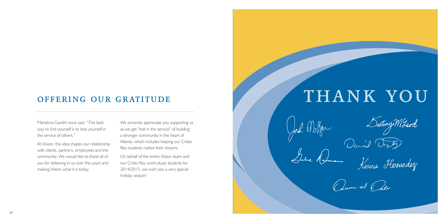Mahatma Gandhi once said, "The best way to find yourself is to lose yourself in the service of others."

At iVision, this idea shapes our relationship with clients, partners, employees and the community. We would like to thank all of you for believing in us over the years and making iVision what it is today.

We sincerely appreciate you supporting us as we get "lost in the service" of building a stronger community in the heart of Atlanta, which includes helping our Cristo Rey students realize their dreams.

On behalf of the entire iVision team and our Cristo Rey work-study students for 2014/2015, we wish you a very special holiday season!

# OFFERING OUR GRATITUDE THANK YOU

John Durid Destiny M2cod